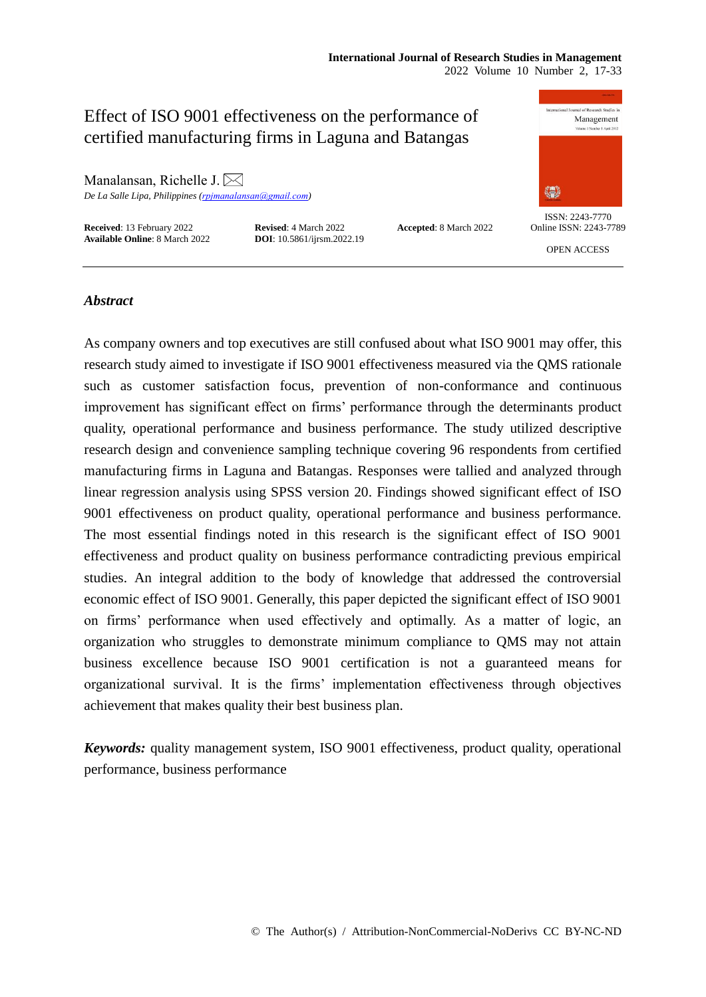### **International Journal of Research Studies in Management** 2022 Volume 10 Number 2, 17-33

surnal of Research Studies in Effect of ISO 9001 effectiveness on the performance of Management certified manufacturing firms in Laguna and Batangas Manalansan, Richelle J. $\bowtie$ 纝 *De La Salle Lipa, Philippines ([rpjmanalansan@gmail.com](mailto:rpjmanalansan@gmail.com))* ISSN: 2243-7770 **Received**: 13 February 2022 **Revised**: 4 March 2022 **Accepted**: 8 March 2022 **Available Online**: 8 March 2022 **DOI**: 10.5861/ijrsm.2022.19 Online ISSN: 2243-7789 **Available Online: 8 March 2022** OPEN ACCESS

# *Abstract*

As company owners and top executives are still confused about what ISO 9001 may offer, this research study aimed to investigate if ISO 9001 effectiveness measured via the QMS rationale such as customer satisfaction focus, prevention of non-conformance and continuous improvement has significant effect on firms' performance through the determinants product quality, operational performance and business performance. The study utilized descriptive research design and convenience sampling technique covering 96 respondents from certified manufacturing firms in Laguna and Batangas. Responses were tallied and analyzed through linear regression analysis using SPSS version 20. Findings showed significant effect of ISO 9001 effectiveness on product quality, operational performance and business performance. The most essential findings noted in this research is the significant effect of ISO 9001 effectiveness and product quality on business performance contradicting previous empirical studies. An integral addition to the body of knowledge that addressed the controversial economic effect of ISO 9001. Generally, this paper depicted the significant effect of ISO 9001 on firms' performance when used effectively and optimally. As a matter of logic, an organization who struggles to demonstrate minimum compliance to QMS may not attain business excellence because ISO 9001 certification is not a guaranteed means for organizational survival. It is the firms' implementation effectiveness through objectives achievement that makes quality their best business plan.

*Keywords:* quality management system, ISO 9001 effectiveness, product quality, operational performance, business performance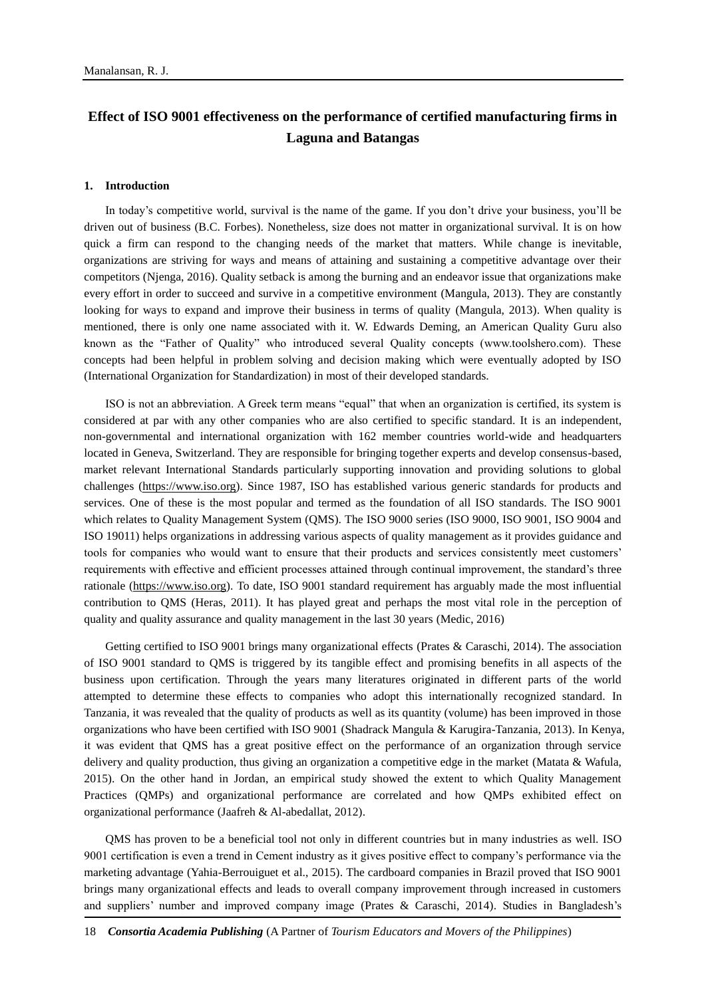# **Effect of ISO 9001 effectiveness on the performance of certified manufacturing firms in Laguna and Batangas**

#### **1. Introduction**

In today's competitive world, survival is the name of the game. If you don't drive your business, you'll be driven out of business (B.C. Forbes). Nonetheless, size does not matter in organizational survival. It is on how quick a firm can respond to the changing needs of the market that matters. While change is inevitable, organizations are striving for ways and means of attaining and sustaining a competitive advantage over their competitors (Njenga, 2016). Quality setback is among the burning and an endeavor issue that organizations make every effort in order to succeed and survive in a competitive environment (Mangula, 2013). They are constantly looking for ways to expand and improve their business in terms of quality (Mangula, 2013). When quality is mentioned, there is only one name associated with it. W. Edwards Deming, an American Quality Guru also known as the "Father of Quality" who introduced several Quality concepts (www.toolshero.com). These concepts had been helpful in problem solving and decision making which were eventually adopted by ISO (International Organization for Standardization) in most of their developed standards.

ISO is not an abbreviation. A Greek term means "equal" that when an organization is certified, its system is considered at par with any other companies who are also certified to specific standard. It is an independent, non-governmental and international organization with 162 member countries world-wide and headquarters located in Geneva, Switzerland. They are responsible for bringing together experts and develop consensus-based, market relevant International Standards particularly supporting innovation and providing solutions to global challenges [\(https://www.iso.org\)](https://www.iso.org/). Since 1987, ISO has established various generic standards for products and services. One of these is the most popular and termed as the foundation of all ISO standards. The ISO 9001 which relates to Quality Management System (QMS). The ISO 9000 series (ISO 9000, ISO 9001, ISO 9004 and ISO 19011) helps organizations in addressing various aspects of quality management as it provides guidance and tools for companies who would want to ensure that their products and services consistently meet customers' requirements with effective and efficient processes attained through continual improvement, the standard's three rationale [\(https://www.iso.org\)](https://www.iso.org/iso-9001-quality-management.html). To date, ISO 9001 standard requirement has arguably made the most influential contribution to QMS (Heras, 2011). It has played great and perhaps the most vital role in the perception of quality and quality assurance and quality management in the last 30 years (Medic, 2016)

Getting certified to ISO 9001 brings many organizational effects (Prates & Caraschi, 2014). The association of ISO 9001 standard to QMS is triggered by its tangible effect and promising benefits in all aspects of the business upon certification. Through the years many literatures originated in different parts of the world attempted to determine these effects to companies who adopt this internationally recognized standard. In Tanzania, it was revealed that the quality of products as well as its quantity (volume) has been improved in those organizations who have been certified with ISO 9001 (Shadrack Mangula & Karugira-Tanzania, 2013). In Kenya, it was evident that QMS has a great positive effect on the performance of an organization through service delivery and quality production, thus giving an organization a competitive edge in the market (Matata & Wafula, 2015). On the other hand in Jordan, an empirical study showed the extent to which Quality Management Practices (QMPs) and organizational performance are correlated and how QMPs exhibited effect on organizational performance (Jaafreh & Al-abedallat, 2012).

QMS has proven to be a beneficial tool not only in different countries but in many industries as well. ISO 9001 certification is even a trend in Cement industry as it gives positive effect to company's performance via the marketing advantage (Yahia-Berrouiguet et al., 2015). The cardboard companies in Brazil proved that ISO 9001 brings many organizational effects and leads to overall company improvement through increased in customers and suppliers' number and improved company image (Prates & Caraschi, 2014). Studies in Bangladesh's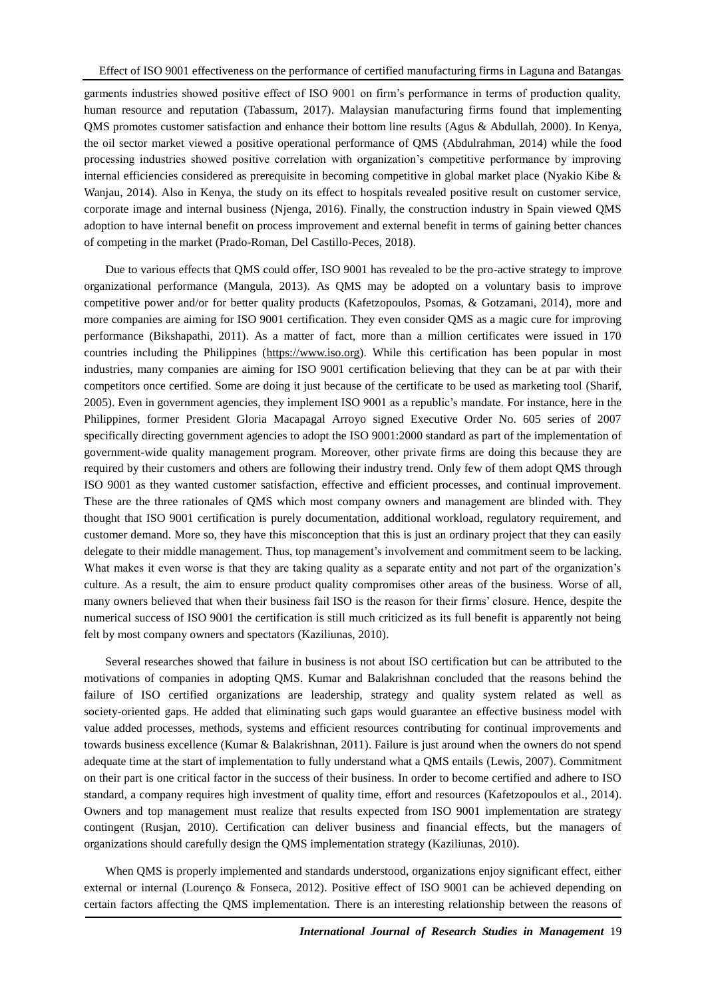garments industries showed positive effect of ISO 9001 on firm's performance in terms of production quality, human resource and reputation (Tabassum, 2017). Malaysian manufacturing firms found that implementing QMS promotes customer satisfaction and enhance their bottom line results (Agus & Abdullah, 2000). In Kenya, the oil sector market viewed a positive operational performance of QMS (Abdulrahman, 2014) while the food processing industries showed positive correlation with organization's competitive performance by improving internal efficiencies considered as prerequisite in becoming competitive in global market place (Nyakio Kibe & Wanjau, 2014). Also in Kenya, the study on its effect to hospitals revealed positive result on customer service, corporate image and internal business (Njenga, 2016). Finally, the construction industry in Spain viewed QMS adoption to have internal benefit on process improvement and external benefit in terms of gaining better chances of competing in the market (Prado-Roman, Del Castillo-Peces, 2018).

Due to various effects that QMS could offer, ISO 9001 has revealed to be the pro-active strategy to improve organizational performance (Mangula, 2013). As QMS may be adopted on a voluntary basis to improve competitive power and/or for better quality products (Kafetzopoulos, Psomas, & Gotzamani, 2014), more and more companies are aiming for ISO 9001 certification. They even consider QMS as a magic cure for improving performance (Bikshapathi, 2011). As a matter of fact, more than a million certificates were issued in 170 countries including the Philippines [\(https://www.iso.org\)](https://www.iso.org/). While this certification has been popular in most industries, many companies are aiming for ISO 9001 certification believing that they can be at par with their competitors once certified. Some are doing it just because of the certificate to be used as marketing tool (Sharif, 2005). Even in government agencies, they implement ISO 9001 as a republic's mandate. For instance, here in the Philippines, former President Gloria Macapagal Arroyo signed Executive Order No. 605 series of 2007 specifically directing government agencies to adopt the ISO 9001:2000 standard as part of the implementation of government-wide quality management program. Moreover, other private firms are doing this because they are required by their customers and others are following their industry trend. Only few of them adopt QMS through ISO 9001 as they wanted customer satisfaction, effective and efficient processes, and continual improvement. These are the three rationales of QMS which most company owners and management are blinded with. They thought that ISO 9001 certification is purely documentation, additional workload, regulatory requirement, and customer demand. More so, they have this misconception that this is just an ordinary project that they can easily delegate to their middle management. Thus, top management's involvement and commitment seem to be lacking. What makes it even worse is that they are taking quality as a separate entity and not part of the organization's culture. As a result, the aim to ensure product quality compromises other areas of the business. Worse of all, many owners believed that when their business fail ISO is the reason for their firms' closure. Hence, despite the numerical success of ISO 9001 the certification is still much criticized as its full benefit is apparently not being felt by most company owners and spectators (Kaziliunas, 2010).

Several researches showed that failure in business is not about ISO certification but can be attributed to the motivations of companies in adopting QMS. Kumar and Balakrishnan concluded that the reasons behind the failure of ISO certified organizations are leadership, strategy and quality system related as well as society-oriented gaps. He added that eliminating such gaps would guarantee an effective business model with value added processes, methods, systems and efficient resources contributing for continual improvements and towards business excellence (Kumar & Balakrishnan, 2011). Failure is just around when the owners do not spend adequate time at the start of implementation to fully understand what a QMS entails (Lewis, 2007). Commitment on their part is one critical factor in the success of their business. In order to become certified and adhere to ISO standard, a company requires high investment of quality time, effort and resources (Kafetzopoulos et al., 2014). Owners and top management must realize that results expected from ISO 9001 implementation are strategy contingent (Rusjan, 2010). Certification can deliver business and financial effects, but the managers of organizations should carefully design the QMS implementation strategy (Kaziliunas, 2010).

When QMS is properly implemented and standards understood, organizations enjoy significant effect, either external or internal (Lourenço & Fonseca, 2012). Positive effect of ISO 9001 can be achieved depending on certain factors affecting the QMS implementation. There is an interesting relationship between the reasons of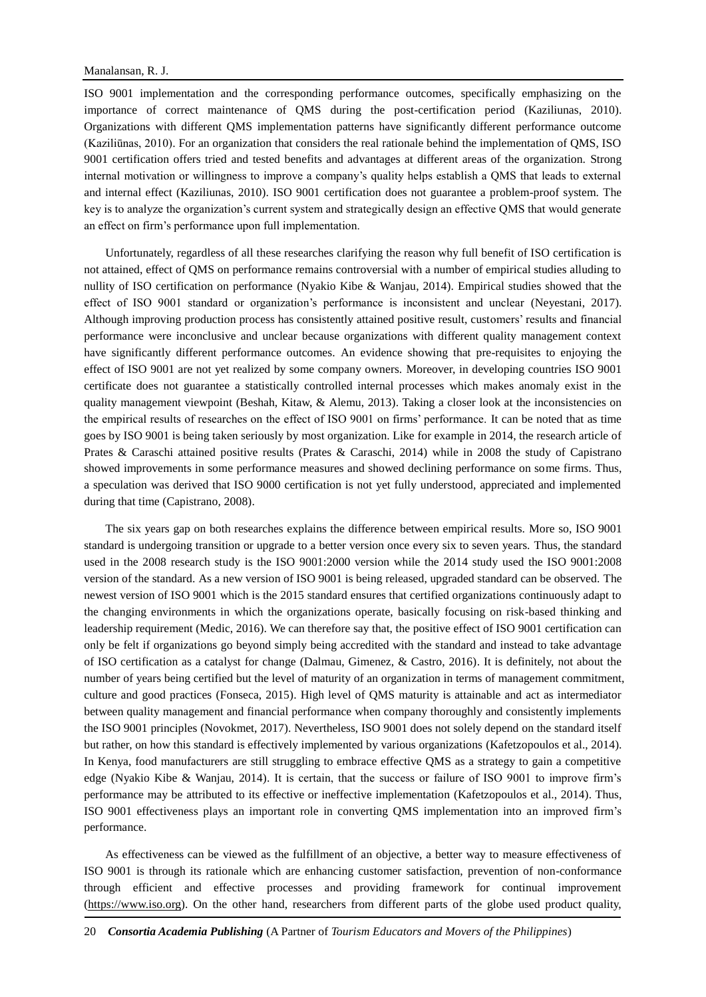ISO 9001 implementation and the corresponding performance outcomes, specifically emphasizing on the importance of correct maintenance of QMS during the post-certification period (Kaziliunas, 2010). Organizations with different QMS implementation patterns have significantly different performance outcome (Kaziliūnas, 2010). For an organization that considers the real rationale behind the implementation of QMS, ISO 9001 certification offers tried and tested benefits and advantages at different areas of the organization. Strong internal motivation or willingness to improve a company's quality helps establish a QMS that leads to external and internal effect (Kaziliunas, 2010). ISO 9001 certification does not guarantee a problem-proof system. The key is to analyze the organization's current system and strategically design an effective QMS that would generate an effect on firm's performance upon full implementation.

Unfortunately, regardless of all these researches clarifying the reason why full benefit of ISO certification is not attained, effect of QMS on performance remains controversial with a number of empirical studies alluding to nullity of ISO certification on performance (Nyakio Kibe & Wanjau, 2014). Empirical studies showed that the effect of ISO 9001 standard or organization's performance is inconsistent and unclear (Neyestani, 2017). Although improving production process has consistently attained positive result, customers' results and financial performance were inconclusive and unclear because organizations with different quality management context have significantly different performance outcomes. An evidence showing that pre-requisites to enjoying the effect of ISO 9001 are not yet realized by some company owners. Moreover, in developing countries ISO 9001 certificate does not guarantee a statistically controlled internal processes which makes anomaly exist in the quality management viewpoint (Beshah, Kitaw, & Alemu, 2013). Taking a closer look at the inconsistencies on the empirical results of researches on the effect of ISO 9001 on firms' performance. It can be noted that as time goes by ISO 9001 is being taken seriously by most organization. Like for example in 2014, the research article of Prates & Caraschi attained positive results (Prates & Caraschi, 2014) while in 2008 the study of Capistrano showed improvements in some performance measures and showed declining performance on some firms. Thus, a speculation was derived that ISO 9000 certification is not yet fully understood, appreciated and implemented during that time (Capistrano, 2008).

The six years gap on both researches explains the difference between empirical results. More so, ISO 9001 standard is undergoing transition or upgrade to a better version once every six to seven years. Thus, the standard used in the 2008 research study is the ISO 9001:2000 version while the 2014 study used the ISO 9001:2008 version of the standard. As a new version of ISO 9001 is being released, upgraded standard can be observed. The newest version of ISO 9001 which is the 2015 standard ensures that certified organizations continuously adapt to the changing environments in which the organizations operate, basically focusing on risk-based thinking and leadership requirement (Medic, 2016). We can therefore say that, the positive effect of ISO 9001 certification can only be felt if organizations go beyond simply being accredited with the standard and instead to take advantage of ISO certification as a catalyst for change (Dalmau, Gimenez, & Castro, 2016). It is definitely, not about the number of years being certified but the level of maturity of an organization in terms of management commitment, culture and good practices (Fonseca, 2015). High level of QMS maturity is attainable and act as intermediator between quality management and financial performance when company thoroughly and consistently implements the ISO 9001 principles (Novokmet, 2017). Nevertheless, ISO 9001 does not solely depend on the standard itself but rather, on how this standard is effectively implemented by various organizations (Kafetzopoulos et al., 2014). In Kenya, food manufacturers are still struggling to embrace effective QMS as a strategy to gain a competitive edge (Nyakio Kibe & Wanjau, 2014). It is certain, that the success or failure of ISO 9001 to improve firm's performance may be attributed to its effective or ineffective implementation (Kafetzopoulos et al., 2014). Thus, ISO 9001 effectiveness plays an important role in converting QMS implementation into an improved firm's performance.

As effectiveness can be viewed as the fulfillment of an objective, a better way to measure effectiveness of ISO 9001 is through its rationale which are enhancing customer satisfaction, prevention of non-conformance through efficient and effective processes and providing framework for continual improvement [\(https://www.iso.org\)](https://www.iso.org/). On the other hand, researchers from different parts of the globe used product quality,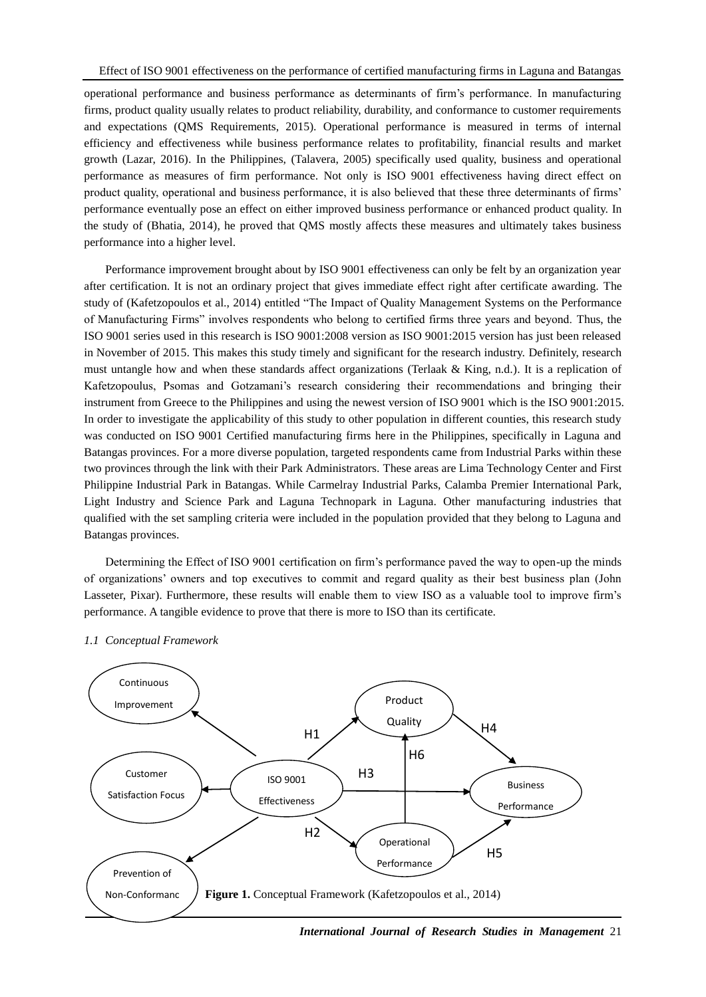operational performance and business performance as determinants of firm's performance. In manufacturing firms, product quality usually relates to product reliability, durability, and conformance to customer requirements and expectations (QMS Requirements, 2015). Operational performance is measured in terms of internal efficiency and effectiveness while business performance relates to profitability, financial results and market growth (Lazar, 2016). In the Philippines, (Talavera, 2005) specifically used quality, business and operational performance as measures of firm performance. Not only is ISO 9001 effectiveness having direct effect on product quality, operational and business performance, it is also believed that these three determinants of firms' performance eventually pose an effect on either improved business performance or enhanced product quality. In the study of (Bhatia, 2014), he proved that QMS mostly affects these measures and ultimately takes business performance into a higher level.

Performance improvement brought about by ISO 9001 effectiveness can only be felt by an organization year after certification. It is not an ordinary project that gives immediate effect right after certificate awarding. The study of (Kafetzopoulos et al., 2014) entitled "The Impact of Quality Management Systems on the Performance of Manufacturing Firms" involves respondents who belong to certified firms three years and beyond. Thus, the ISO 9001 series used in this research is ISO 9001:2008 version as ISO 9001:2015 version has just been released in November of 2015. This makes this study timely and significant for the research industry. Definitely, research must untangle how and when these standards affect organizations (Terlaak & King, n.d.). It is a replication of Kafetzopoulus, Psomas and Gotzamani's research considering their recommendations and bringing their instrument from Greece to the Philippines and using the newest version of ISO 9001 which is the ISO 9001:2015. In order to investigate the applicability of this study to other population in different counties, this research study was conducted on ISO 9001 Certified manufacturing firms here in the Philippines, specifically in Laguna and Batangas provinces. For a more diverse population, targeted respondents came from Industrial Parks within these two provinces through the link with their Park Administrators. These areas are Lima Technology Center and First Philippine Industrial Park in Batangas. While Carmelray Industrial Parks, Calamba Premier International Park, Light Industry and Science Park and Laguna Technopark in Laguna. Other manufacturing industries that qualified with the set sampling criteria were included in the population provided that they belong to Laguna and Batangas provinces.

Determining the Effect of ISO 9001 certification on firm's performance paved the way to open-up the minds of organizations' owners and top executives to commit and regard quality as their best business plan (John Lasseter, Pixar). Furthermore, these results will enable them to view ISO as a valuable tool to improve firm's performance. A tangible evidence to prove that there is more to ISO than its certificate.



#### *1.1 Conceptual Framework*

*International Journal of Research Studies in Management* 21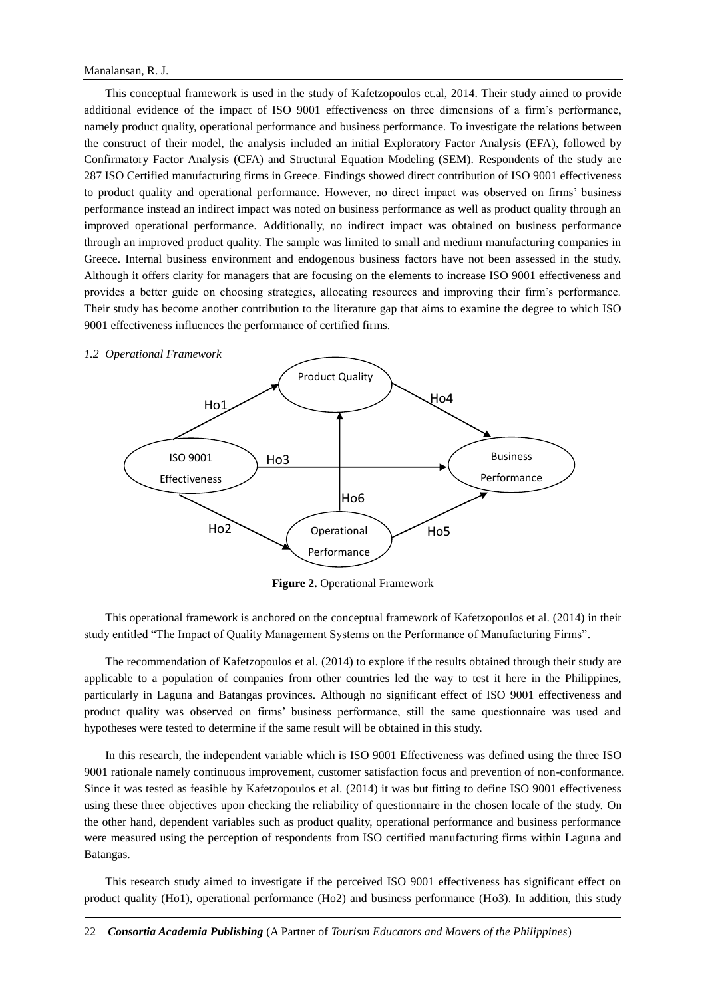### Manalansan, R. J.

This conceptual framework is used in the study of Kafetzopoulos et.al, 2014. Their study aimed to provide additional evidence of the impact of ISO 9001 effectiveness on three dimensions of a firm's performance, namely product quality, operational performance and business performance. To investigate the relations between the construct of their model, the analysis included an initial Exploratory Factor Analysis (EFA), followed by Confirmatory Factor Analysis (CFA) and Structural Equation Modeling (SEM). Respondents of the study are 287 ISO Certified manufacturing firms in Greece. Findings showed direct contribution of ISO 9001 effectiveness to product quality and operational performance. However, no direct impact was observed on firms' business performance instead an indirect impact was noted on business performance as well as product quality through an improved operational performance. Additionally, no indirect impact was obtained on business performance through an improved product quality. The sample was limited to small and medium manufacturing companies in Greece. Internal business environment and endogenous business factors have not been assessed in the study. Although it offers clarity for managers that are focusing on the elements to increase ISO 9001 effectiveness and provides a better guide on choosing strategies, allocating resources and improving their firm's performance. Their study has become another contribution to the literature gap that aims to examine the degree to which ISO 9001 effectiveness influences the performance of certified firms.



**Figure 2.** Operational Framework

This operational framework is anchored on the conceptual framework of Kafetzopoulos et al. (2014) in their study entitled "The Impact of Quality Management Systems on the Performance of Manufacturing Firms".

The recommendation of Kafetzopoulos et al. (2014) to explore if the results obtained through their study are applicable to a population of companies from other countries led the way to test it here in the Philippines, particularly in Laguna and Batangas provinces. Although no significant effect of ISO 9001 effectiveness and product quality was observed on firms' business performance, still the same questionnaire was used and hypotheses were tested to determine if the same result will be obtained in this study.

In this research, the independent variable which is ISO 9001 Effectiveness was defined using the three ISO 9001 rationale namely continuous improvement, customer satisfaction focus and prevention of non-conformance. Since it was tested as feasible by Kafetzopoulos et al. (2014) it was but fitting to define ISO 9001 effectiveness using these three objectives upon checking the reliability of questionnaire in the chosen locale of the study. On the other hand, dependent variables such as product quality, operational performance and business performance were measured using the perception of respondents from ISO certified manufacturing firms within Laguna and Batangas.

This research study aimed to investigate if the perceived ISO 9001 effectiveness has significant effect on product quality (Ho1), operational performance (Ho2) and business performance (Ho3). In addition, this study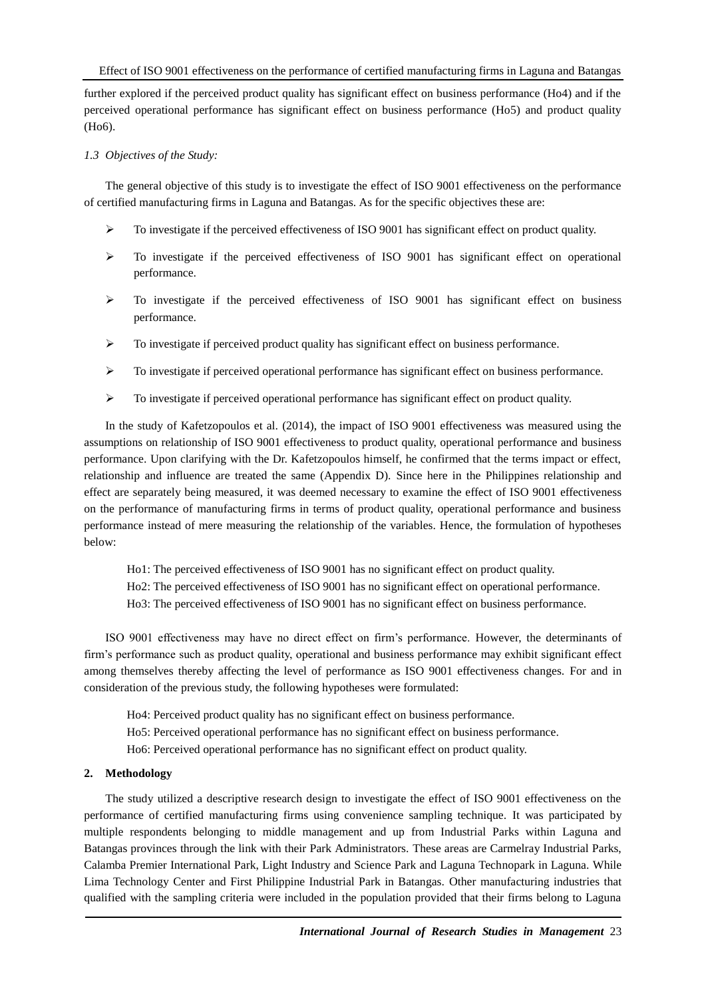further explored if the perceived product quality has significant effect on business performance (Ho4) and if the perceived operational performance has significant effect on business performance (Ho5) and product quality (Ho6).

## *1.3 Objectives of the Study:*

The general objective of this study is to investigate the effect of ISO 9001 effectiveness on the performance of certified manufacturing firms in Laguna and Batangas. As for the specific objectives these are:

- $\triangleright$  To investigate if the perceived effectiveness of ISO 9001 has significant effect on product quality.
- $\triangleright$  To investigate if the perceived effectiveness of ISO 9001 has significant effect on operational performance.
- $\triangleright$  To investigate if the perceived effectiveness of ISO 9001 has significant effect on business performance.
- $\triangleright$  To investigate if perceived product quality has significant effect on business performance.
- $\triangleright$  To investigate if perceived operational performance has significant effect on business performance.
- $\triangleright$  To investigate if perceived operational performance has significant effect on product quality.

In the study of Kafetzopoulos et al. (2014), the impact of ISO 9001 effectiveness was measured using the assumptions on relationship of ISO 9001 effectiveness to product quality, operational performance and business performance. Upon clarifying with the Dr. Kafetzopoulos himself, he confirmed that the terms impact or effect, relationship and influence are treated the same (Appendix D). Since here in the Philippines relationship and effect are separately being measured, it was deemed necessary to examine the effect of ISO 9001 effectiveness on the performance of manufacturing firms in terms of product quality, operational performance and business performance instead of mere measuring the relationship of the variables. Hence, the formulation of hypotheses below:

- Ho1: The perceived effectiveness of ISO 9001 has no significant effect on product quality.
- Ho2: The perceived effectiveness of ISO 9001 has no significant effect on operational performance.
- Ho3: The perceived effectiveness of ISO 9001 has no significant effect on business performance.

ISO 9001 effectiveness may have no direct effect on firm's performance. However, the determinants of firm's performance such as product quality, operational and business performance may exhibit significant effect among themselves thereby affecting the level of performance as ISO 9001 effectiveness changes. For and in consideration of the previous study, the following hypotheses were formulated:

Ho4: Perceived product quality has no significant effect on business performance.

- Ho5: Perceived operational performance has no significant effect on business performance.
- Ho6: Perceived operational performance has no significant effect on product quality.

### **2. Methodology**

The study utilized a descriptive research design to investigate the effect of ISO 9001 effectiveness on the performance of certified manufacturing firms using convenience sampling technique. It was participated by multiple respondents belonging to middle management and up from Industrial Parks within Laguna and Batangas provinces through the link with their Park Administrators. These areas are Carmelray Industrial Parks, Calamba Premier International Park, Light Industry and Science Park and Laguna Technopark in Laguna. While Lima Technology Center and First Philippine Industrial Park in Batangas. Other manufacturing industries that qualified with the sampling criteria were included in the population provided that their firms belong to Laguna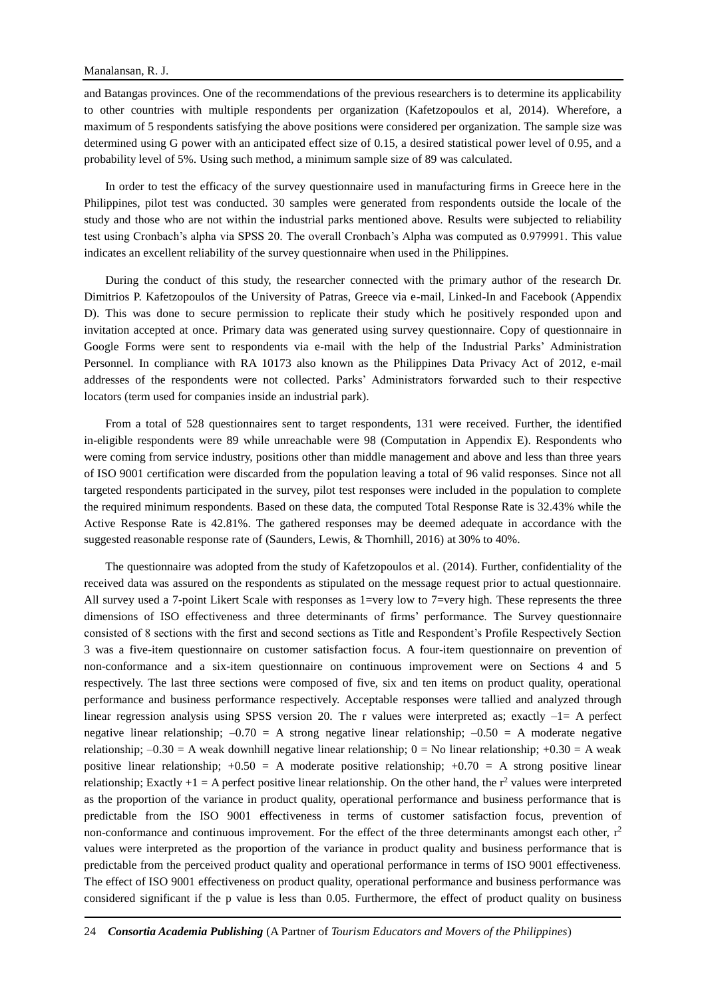and Batangas provinces. One of the recommendations of the previous researchers is to determine its applicability to other countries with multiple respondents per organization (Kafetzopoulos et al, 2014). Wherefore, a maximum of 5 respondents satisfying the above positions were considered per organization. The sample size was determined using G power with an anticipated effect size of 0.15, a desired statistical power level of 0.95, and a probability level of 5%. Using such method, a minimum sample size of 89 was calculated.

In order to test the efficacy of the survey questionnaire used in manufacturing firms in Greece here in the Philippines, pilot test was conducted. 30 samples were generated from respondents outside the locale of the study and those who are not within the industrial parks mentioned above. Results were subjected to reliability test using Cronbach's alpha via SPSS 20. The overall Cronbach's Alpha was computed as 0.979991. This value indicates an excellent reliability of the survey questionnaire when used in the Philippines.

During the conduct of this study, the researcher connected with the primary author of the research Dr. Dimitrios P. Kafetzopoulos of the University of Patras, Greece via e-mail, Linked-In and Facebook (Appendix D). This was done to secure permission to replicate their study which he positively responded upon and invitation accepted at once. Primary data was generated using survey questionnaire. Copy of questionnaire in Google Forms were sent to respondents via e-mail with the help of the Industrial Parks' Administration Personnel. In compliance with RA 10173 also known as the Philippines Data Privacy Act of 2012, e-mail addresses of the respondents were not collected. Parks' Administrators forwarded such to their respective locators (term used for companies inside an industrial park).

From a total of 528 questionnaires sent to target respondents, 131 were received. Further, the identified in-eligible respondents were 89 while unreachable were 98 (Computation in Appendix E). Respondents who were coming from service industry, positions other than middle management and above and less than three years of ISO 9001 certification were discarded from the population leaving a total of 96 valid responses. Since not all targeted respondents participated in the survey, pilot test responses were included in the population to complete the required minimum respondents. Based on these data, the computed Total Response Rate is 32.43% while the Active Response Rate is 42.81%. The gathered responses may be deemed adequate in accordance with the suggested reasonable response rate of (Saunders, Lewis, & Thornhill, 2016) at 30% to 40%.

The questionnaire was adopted from the study of Kafetzopoulos et al. (2014). Further, confidentiality of the received data was assured on the respondents as stipulated on the message request prior to actual questionnaire. All survey used a 7-point Likert Scale with responses as 1=very low to 7=very high. These represents the three dimensions of ISO effectiveness and three determinants of firms' performance. The Survey questionnaire consisted of 8 sections with the first and second sections as Title and Respondent's Profile Respectively Section 3 was a five-item questionnaire on customer satisfaction focus. A four-item questionnaire on prevention of non-conformance and a six-item questionnaire on continuous improvement were on Sections 4 and 5 respectively. The last three sections were composed of five, six and ten items on product quality, operational performance and business performance respectively. Acceptable responses were tallied and analyzed through linear regression analysis using SPSS version 20. The r values were interpreted as; exactly  $-1=$  A perfect negative linear relationship;  $-0.70 = A$  strong negative linear relationship;  $-0.50 = A$  moderate negative relationship;  $-0.30 = A$  weak downhill negative linear relationship;  $0 = No$  linear relationship;  $+0.30 = A$  weak positive linear relationship;  $+0.50 = A$  moderate positive relationship;  $+0.70 = A$  strong positive linear relationship; Exactly  $+1 = A$  perfect positive linear relationship. On the other hand, the  $r^2$  values were interpreted as the proportion of the variance in product quality, operational performance and business performance that is predictable from the ISO 9001 effectiveness in terms of customer satisfaction focus, prevention of non-conformance and continuous improvement. For the effect of the three determinants amongst each other,  $r<sup>2</sup>$ values were interpreted as the proportion of the variance in product quality and business performance that is predictable from the perceived product quality and operational performance in terms of ISO 9001 effectiveness. The effect of ISO 9001 effectiveness on product quality, operational performance and business performance was considered significant if the p value is less than 0.05. Furthermore, the effect of product quality on business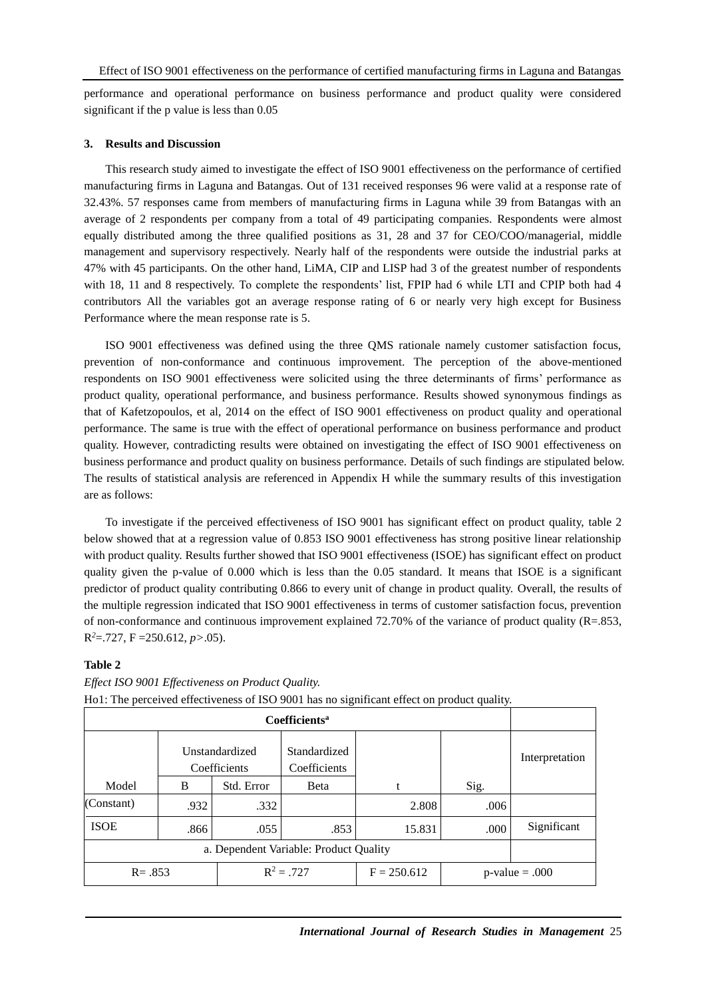performance and operational performance on business performance and product quality were considered significant if the p value is less than 0.05

### **3. Results and Discussion**

This research study aimed to investigate the effect of ISO 9001 effectiveness on the performance of certified manufacturing firms in Laguna and Batangas. Out of 131 received responses 96 were valid at a response rate of 32.43%. 57 responses came from members of manufacturing firms in Laguna while 39 from Batangas with an average of 2 respondents per company from a total of 49 participating companies. Respondents were almost equally distributed among the three qualified positions as 31, 28 and 37 for CEO/COO/managerial, middle management and supervisory respectively. Nearly half of the respondents were outside the industrial parks at 47% with 45 participants. On the other hand, LiMA, CIP and LISP had 3 of the greatest number of respondents with 18, 11 and 8 respectively. To complete the respondents' list, FPIP had 6 while LTI and CPIP both had 4 contributors All the variables got an average response rating of 6 or nearly very high except for Business Performance where the mean response rate is 5.

ISO 9001 effectiveness was defined using the three QMS rationale namely customer satisfaction focus, prevention of non-conformance and continuous improvement. The perception of the above-mentioned respondents on ISO 9001 effectiveness were solicited using the three determinants of firms' performance as product quality, operational performance, and business performance. Results showed synonymous findings as that of Kafetzopoulos, et al, 2014 on the effect of ISO 9001 effectiveness on product quality and operational performance. The same is true with the effect of operational performance on business performance and product quality. However, contradicting results were obtained on investigating the effect of ISO 9001 effectiveness on business performance and product quality on business performance. Details of such findings are stipulated below. The results of statistical analysis are referenced in Appendix H while the summary results of this investigation are as follows:

To investigate if the perceived effectiveness of ISO 9001 has significant effect on product quality, table 2 below showed that at a regression value of 0.853 ISO 9001 effectiveness has strong positive linear relationship with product quality. Results further showed that ISO 9001 effectiveness (ISOE) has significant effect on product quality given the p-value of 0.000 which is less than the 0.05 standard. It means that ISOE is a significant predictor of product quality contributing 0.866 to every unit of change in product quality. Overall, the results of the multiple regression indicated that ISO 9001 effectiveness in terms of customer satisfaction focus, prevention of non-conformance and continuous improvement explained 72.70% of the variance of product quality  $(R=.853, ...)$ R *<sup>2</sup>*=.727, F =250.612, *p>*.05).

## **Table 2**

|             | Unstandardized<br>Coefficients |              | Standardized<br>Coefficients |        |                  | Interpretation |
|-------------|--------------------------------|--------------|------------------------------|--------|------------------|----------------|
| Model       | B                              | Std. Error   | <b>B</b> eta                 |        | Sig.             |                |
| (Constant)  | .932                           | .332         |                              | 2.808  | .006             |                |
| <b>ISOE</b> | .866                           | .055         | .853                         | 15.831 | .000             | Significant    |
|             |                                |              |                              |        |                  |                |
| $R = .853$  |                                | $R^2 = .727$ | $F = 250.612$                |        | $p-value = .000$ |                |

# *Effect ISO 9001 Effectiveness on Product Quality.*

Ho1: The perceived effectiveness of ISO 9001 has no significant effect on product quality.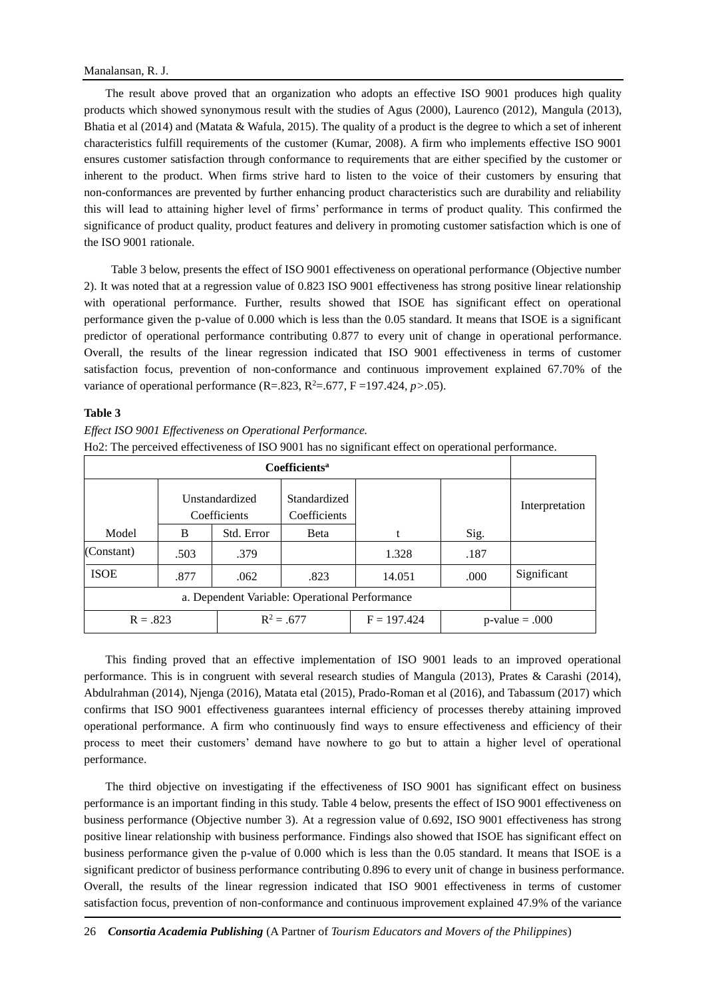The result above proved that an organization who adopts an effective ISO 9001 produces high quality products which showed synonymous result with the studies of Agus (2000), Laurenco (2012), Mangula (2013), Bhatia et al (2014) and (Matata & Wafula, 2015). The quality of a product is the degree to which a set of inherent characteristics fulfill requirements of the customer (Kumar, 2008). A firm who implements effective ISO 9001 ensures customer satisfaction through conformance to requirements that are either specified by the customer or inherent to the product. When firms strive hard to listen to the voice of their customers by ensuring that non-conformances are prevented by further enhancing product characteristics such are durability and reliability this will lead to attaining higher level of firms' performance in terms of product quality. This confirmed the significance of product quality, product features and delivery in promoting customer satisfaction which is one of the ISO 9001 rationale.

Table 3 below, presents the effect of ISO 9001 effectiveness on operational performance (Objective number 2). It was noted that at a regression value of 0.823 ISO 9001 effectiveness has strong positive linear relationship with operational performance. Further, results showed that ISOE has significant effect on operational performance given the p-value of 0.000 which is less than the 0.05 standard. It means that ISOE is a significant predictor of operational performance contributing 0.877 to every unit of change in operational performance. Overall, the results of the linear regression indicated that ISO 9001 effectiveness in terms of customer satisfaction focus, prevention of non-conformance and continuous improvement explained 67.70% of the variance of operational performance  $(R=.823, R^2=.677, F =197.424, p > .05)$ .

### **Table 3**

*Effect ISO 9001 Effectiveness on Operational Performance.* Ho2: The perceived effectiveness of ISO 9001 has no significant effect on operational performance.

|             | Unstandardized<br>Coefficients |              | Standardized<br>Coefficients |        |                  | Interpretation |
|-------------|--------------------------------|--------------|------------------------------|--------|------------------|----------------|
| Model       | B                              | Std. Error   | <b>B</b> eta                 | t      | Sig.             |                |
| (Constant)  | .503                           | .379         |                              | 1.328  | .187             |                |
| <b>ISOE</b> | .877                           | .062         | .823                         | 14.051 | .000             | Significant    |
|             |                                |              |                              |        |                  |                |
| $R = .823$  |                                | $R^2 = .677$ | $F = 197.424$                |        | $p-value = .000$ |                |

This finding proved that an effective implementation of ISO 9001 leads to an improved operational performance. This is in congruent with several research studies of Mangula (2013), Prates & Carashi (2014), Abdulrahman (2014), Njenga (2016), Matata etal (2015), Prado-Roman et al (2016), and Tabassum (2017) which confirms that ISO 9001 effectiveness guarantees internal efficiency of processes thereby attaining improved operational performance. A firm who continuously find ways to ensure effectiveness and efficiency of their process to meet their customers' demand have nowhere to go but to attain a higher level of operational performance.

The third objective on investigating if the effectiveness of ISO 9001 has significant effect on business performance is an important finding in this study. Table 4 below, presents the effect of ISO 9001 effectiveness on business performance (Objective number 3). At a regression value of 0.692, ISO 9001 effectiveness has strong positive linear relationship with business performance. Findings also showed that ISOE has significant effect on business performance given the p-value of 0.000 which is less than the 0.05 standard. It means that ISOE is a significant predictor of business performance contributing 0.896 to every unit of change in business performance. Overall, the results of the linear regression indicated that ISO 9001 effectiveness in terms of customer satisfaction focus, prevention of non-conformance and continuous improvement explained 47.9% of the variance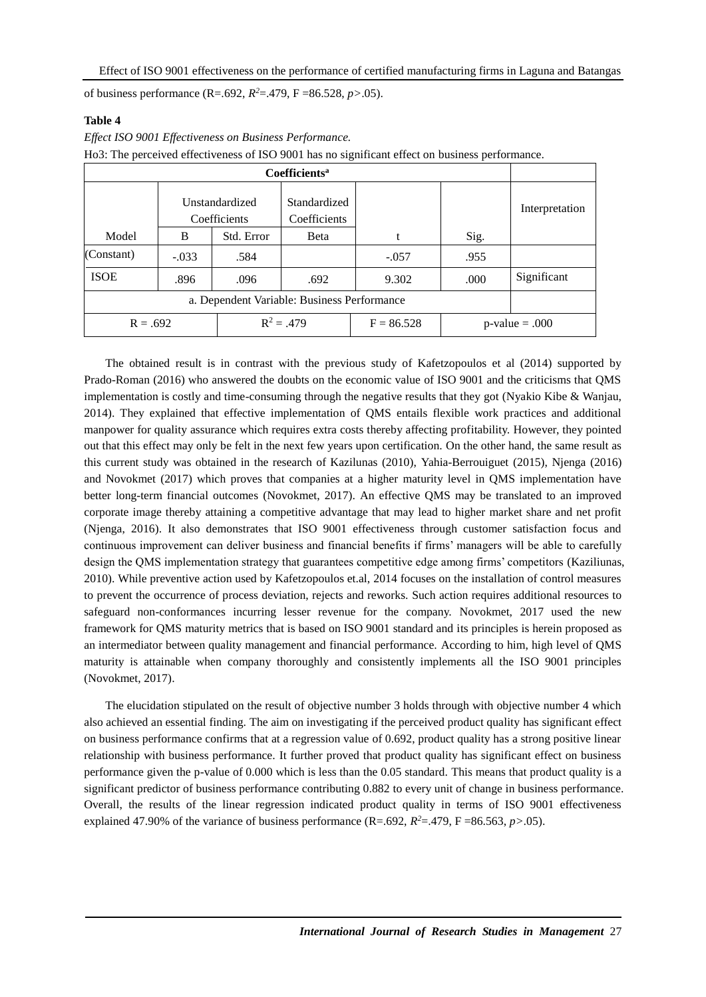of business performance (R=.692,  $R^2 = 0.479$ , F = 86.528,  $p > 0.05$ ).

## **Table 4**

|             |                                |            |                              | Ho3: The perceived effectiveness of ISO 9001 has no significant effect on business performance. |                  |                |
|-------------|--------------------------------|------------|------------------------------|-------------------------------------------------------------------------------------------------|------------------|----------------|
|             |                                |            |                              |                                                                                                 |                  |                |
|             | Unstandardized<br>Coefficients |            | Standardized<br>Coefficients |                                                                                                 |                  | Interpretation |
| Model       | B                              | Std. Error | Beta                         |                                                                                                 | Sig.             |                |
| (Constant)  | $-.033$                        | .584       |                              | $-.057$                                                                                         | .955             |                |
| <b>ISOE</b> | .896                           | .096       | .692                         | 9.302                                                                                           | .000             | Significant    |
|             |                                |            |                              |                                                                                                 |                  |                |
| $R = .692$  |                                |            | $R^2 = .479$                 | $F = 86.528$                                                                                    | $p-value = .000$ |                |

*Effect ISO 9001 Effectiveness on Business Performance.*

The obtained result is in contrast with the previous study of Kafetzopoulos et al (2014) supported by Prado-Roman (2016) who answered the doubts on the economic value of ISO 9001 and the criticisms that QMS implementation is costly and time-consuming through the negative results that they got (Nyakio Kibe & Wanjau, 2014). They explained that effective implementation of QMS entails flexible work practices and additional manpower for quality assurance which requires extra costs thereby affecting profitability. However, they pointed out that this effect may only be felt in the next few years upon certification. On the other hand, the same result as this current study was obtained in the research of Kazilunas (2010), Yahia-Berrouiguet (2015), Njenga (2016) and Novokmet (2017) which proves that companies at a higher maturity level in QMS implementation have better long-term financial outcomes (Novokmet, 2017). An effective QMS may be translated to an improved corporate image thereby attaining a competitive advantage that may lead to higher market share and net profit (Njenga, 2016). It also demonstrates that ISO 9001 effectiveness through customer satisfaction focus and continuous improvement can deliver business and financial benefits if firms' managers will be able to carefully design the QMS implementation strategy that guarantees competitive edge among firms' competitors (Kaziliunas, 2010). While preventive action used by Kafetzopoulos et.al, 2014 focuses on the installation of control measures to prevent the occurrence of process deviation, rejects and reworks. Such action requires additional resources to safeguard non-conformances incurring lesser revenue for the company. Novokmet, 2017 used the new framework for QMS maturity metrics that is based on ISO 9001 standard and its principles is herein proposed as an intermediator between quality management and financial performance. According to him, high level of QMS maturity is attainable when company thoroughly and consistently implements all the ISO 9001 principles (Novokmet, 2017).

The elucidation stipulated on the result of objective number 3 holds through with objective number 4 which also achieved an essential finding. The aim on investigating if the perceived product quality has significant effect on business performance confirms that at a regression value of 0.692, product quality has a strong positive linear relationship with business performance. It further proved that product quality has significant effect on business performance given the p-value of 0.000 which is less than the 0.05 standard. This means that product quality is a significant predictor of business performance contributing 0.882 to every unit of change in business performance. Overall, the results of the linear regression indicated product quality in terms of ISO 9001 effectiveness explained 47.90% of the variance of business performance  $(R=.692, R^2=.479, F = 86.563, p > .05)$ .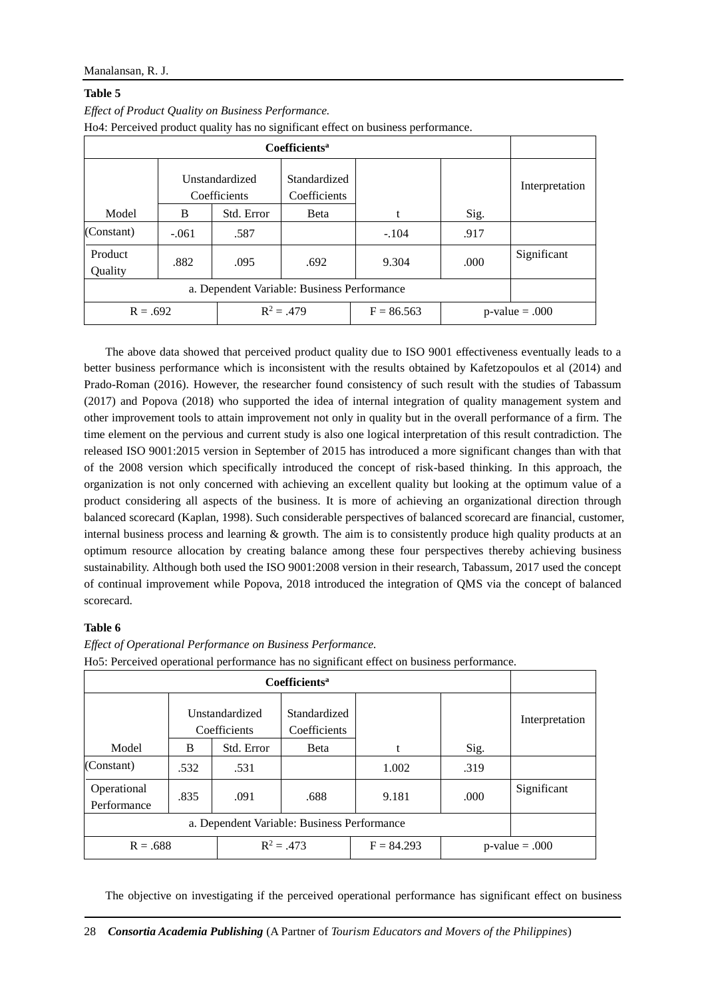# **Table 5**

|                    |                                |            |                              | rio <sub>4</sub> . Perceived product quality has no significant effect on business performance. |                  |                |
|--------------------|--------------------------------|------------|------------------------------|-------------------------------------------------------------------------------------------------|------------------|----------------|
|                    |                                |            |                              |                                                                                                 |                  |                |
|                    | Unstandardized<br>Coefficients |            | Standardized<br>Coefficients |                                                                                                 |                  | Interpretation |
| Model              | B                              | Std. Error | <b>B</b> eta                 | t                                                                                               | Sig.             |                |
| (Constant)         | $-.061$                        | .587       |                              | $-.104$                                                                                         | .917             |                |
| Product<br>Quality | .882                           | .095       | .692                         | 9.304                                                                                           | .000             | Significant    |
|                    |                                |            |                              |                                                                                                 |                  |                |
| $R = .692$         |                                |            | $R^2 = .479$                 | $F = 86.563$                                                                                    | $p-value = .000$ |                |

*Effect of Product Quality on Business Performance.* Ho4: Perceived product quality has no significant effect on business performance.

The above data showed that perceived product quality due to ISO 9001 effectiveness eventually leads to a better business performance which is inconsistent with the results obtained by Kafetzopoulos et al (2014) and Prado-Roman (2016). However, the researcher found consistency of such result with the studies of Tabassum (2017) and Popova (2018) who supported the idea of internal integration of quality management system and other improvement tools to attain improvement not only in quality but in the overall performance of a firm. The time element on the pervious and current study is also one logical interpretation of this result contradiction. The released ISO 9001:2015 version in September of 2015 has introduced a more significant changes than with that of the 2008 version which specifically introduced the concept of risk-based thinking. In this approach, the organization is not only concerned with achieving an excellent quality but looking at the optimum value of a product considering all aspects of the business. It is more of achieving an organizational direction through balanced scorecard (Kaplan, 1998). Such considerable perspectives of balanced scorecard are financial, customer, internal business process and learning & growth. The aim is to consistently produce high quality products at an optimum resource allocation by creating balance among these four perspectives thereby achieving business sustainability. Although both used the ISO 9001:2008 version in their research, Tabassum, 2017 used the concept of continual improvement while Popova, 2018 introduced the integration of QMS via the concept of balanced scorecard.

# **Table 6**

**Coefficients<sup>a</sup>** Model Unstandardized **Coefficients** Standardized **Coefficients** t Sig. Interpretation B Std. Error Beta (Constant) .532 .531 .531 .319 Operational Performance .835 .091 .688 .688 .000 Significant a. Dependent Variable: Business Performance  $R = .688$   $R^2 = .473$  $F = 84.293$  p-value = .000

*Effect of Operational Performance on Business Performance.*

Ho5: Perceived operational performance has no significant effect on business performance.

The objective on investigating if the perceived operational performance has significant effect on business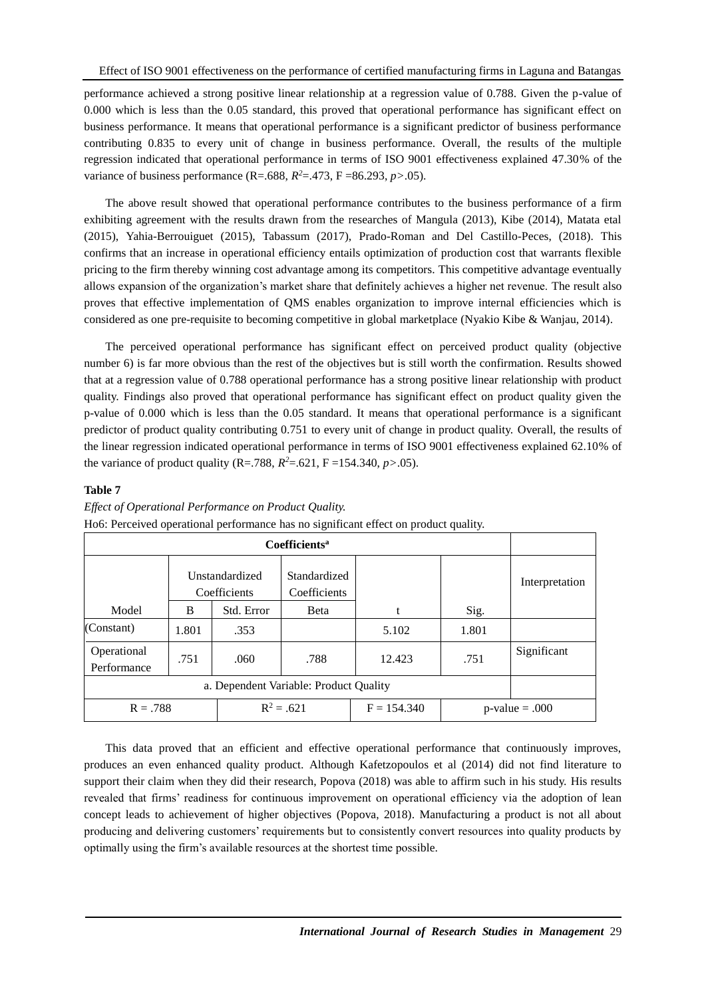performance achieved a strong positive linear relationship at a regression value of 0.788. Given the p-value of 0.000 which is less than the 0.05 standard, this proved that operational performance has significant effect on business performance. It means that operational performance is a significant predictor of business performance contributing 0.835 to every unit of change in business performance. Overall, the results of the multiple regression indicated that operational performance in terms of ISO 9001 effectiveness explained 47.30% of the variance of business performance (R=.688,  $R^2 = 0.473$ , F = 86.293, *p*>.05).

The above result showed that operational performance contributes to the business performance of a firm exhibiting agreement with the results drawn from the researches of Mangula (2013), Kibe (2014), Matata etal (2015), Yahia-Berrouiguet (2015), Tabassum (2017), Prado-Roman and Del Castillo-Peces, (2018). This confirms that an increase in operational efficiency entails optimization of production cost that warrants flexible pricing to the firm thereby winning cost advantage among its competitors. This competitive advantage eventually allows expansion of the organization's market share that definitely achieves a higher net revenue. The result also proves that effective implementation of QMS enables organization to improve internal efficiencies which is considered as one pre-requisite to becoming competitive in global marketplace (Nyakio Kibe & Wanjau, 2014).

The perceived operational performance has significant effect on perceived product quality (objective number 6) is far more obvious than the rest of the objectives but is still worth the confirmation. Results showed that at a regression value of 0.788 operational performance has a strong positive linear relationship with product quality. Findings also proved that operational performance has significant effect on product quality given the p-value of 0.000 which is less than the 0.05 standard. It means that operational performance is a significant predictor of product quality contributing 0.751 to every unit of change in product quality. Overall, the results of the linear regression indicated operational performance in terms of ISO 9001 effectiveness explained 62.10% of the variance of product quality (R=.788,  $R^2 = .621$ , F =154.340,  $p > .05$ ).

# **Table 7**

|                            |                                |            |                              | Hoo: Perceived operational performance has no significant effect on product quality. |                   |                |
|----------------------------|--------------------------------|------------|------------------------------|--------------------------------------------------------------------------------------|-------------------|----------------|
|                            |                                |            |                              |                                                                                      |                   |                |
|                            | Unstandardized<br>Coefficients |            | Standardized<br>Coefficients |                                                                                      |                   | Interpretation |
| Model                      | B                              | Std. Error | <b>B</b> eta                 |                                                                                      | Sig.              |                |
| (Constant)                 | 1.801                          | .353       |                              | 5.102                                                                                | 1.801             |                |
| Operational<br>Performance | .751                           | .060       | .788                         | 12.423                                                                               | .751              | Significant    |
|                            |                                |            |                              |                                                                                      |                   |                |
| $R = .788$                 |                                |            | $R^2 = .621$                 | $F = 154.340$                                                                        | $p$ -value = .000 |                |

### *Effect of Operational Performance on Product Quality.* Ho6: Perceived operational performance has no significant effect on product quality.

This data proved that an efficient and effective operational performance that continuously improves, produces an even enhanced quality product. Although Kafetzopoulos et al (2014) did not find literature to support their claim when they did their research, Popova (2018) was able to affirm such in his study. His results revealed that firms' readiness for continuous improvement on operational efficiency via the adoption of lean concept leads to achievement of higher objectives (Popova, 2018). Manufacturing a product is not all about producing and delivering customers' requirements but to consistently convert resources into quality products by optimally using the firm's available resources at the shortest time possible.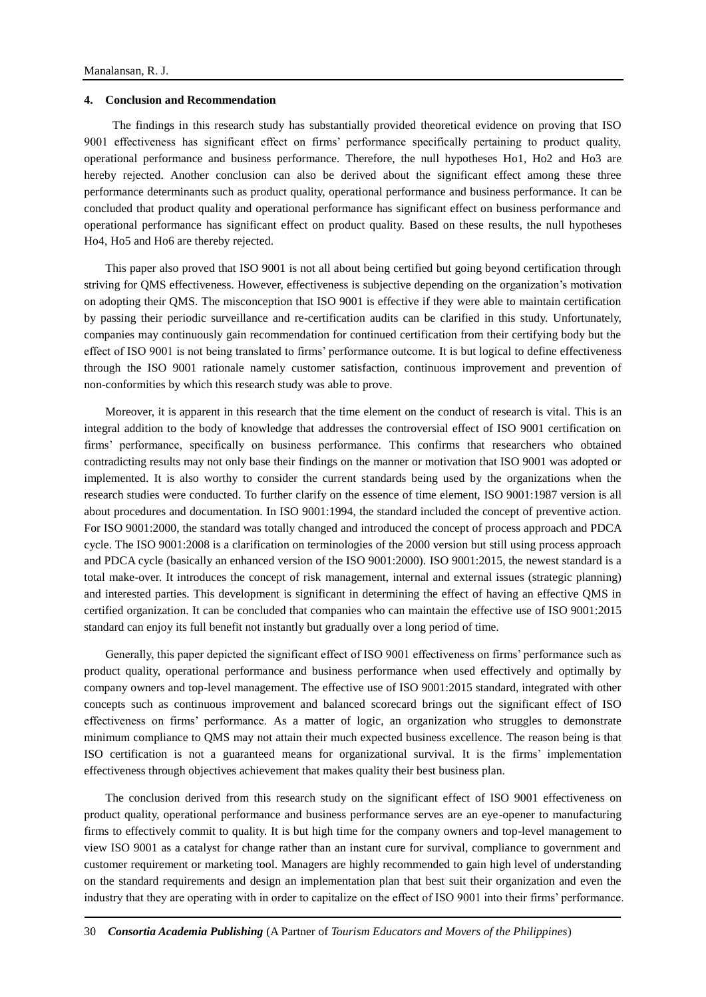### **4. Conclusion and Recommendation**

The findings in this research study has substantially provided theoretical evidence on proving that ISO 9001 effectiveness has significant effect on firms' performance specifically pertaining to product quality, operational performance and business performance. Therefore, the null hypotheses Ho1, Ho2 and Ho3 are hereby rejected. Another conclusion can also be derived about the significant effect among these three performance determinants such as product quality, operational performance and business performance. It can be concluded that product quality and operational performance has significant effect on business performance and operational performance has significant effect on product quality. Based on these results, the null hypotheses Ho4, Ho5 and Ho6 are thereby rejected.

This paper also proved that ISO 9001 is not all about being certified but going beyond certification through striving for QMS effectiveness. However, effectiveness is subjective depending on the organization's motivation on adopting their QMS. The misconception that ISO 9001 is effective if they were able to maintain certification by passing their periodic surveillance and re-certification audits can be clarified in this study. Unfortunately, companies may continuously gain recommendation for continued certification from their certifying body but the effect of ISO 9001 is not being translated to firms' performance outcome. It is but logical to define effectiveness through the ISO 9001 rationale namely customer satisfaction, continuous improvement and prevention of non-conformities by which this research study was able to prove.

Moreover, it is apparent in this research that the time element on the conduct of research is vital. This is an integral addition to the body of knowledge that addresses the controversial effect of ISO 9001 certification on firms' performance, specifically on business performance. This confirms that researchers who obtained contradicting results may not only base their findings on the manner or motivation that ISO 9001 was adopted or implemented. It is also worthy to consider the current standards being used by the organizations when the research studies were conducted. To further clarify on the essence of time element, ISO 9001:1987 version is all about procedures and documentation. In ISO 9001:1994, the standard included the concept of preventive action. For ISO 9001:2000, the standard was totally changed and introduced the concept of process approach and PDCA cycle. The ISO 9001:2008 is a clarification on terminologies of the 2000 version but still using process approach and PDCA cycle (basically an enhanced version of the ISO 9001:2000). ISO 9001:2015, the newest standard is a total make-over. It introduces the concept of risk management, internal and external issues (strategic planning) and interested parties. This development is significant in determining the effect of having an effective QMS in certified organization. It can be concluded that companies who can maintain the effective use of ISO 9001:2015 standard can enjoy its full benefit not instantly but gradually over a long period of time.

Generally, this paper depicted the significant effect of ISO 9001 effectiveness on firms' performance such as product quality, operational performance and business performance when used effectively and optimally by company owners and top-level management. The effective use of ISO 9001:2015 standard, integrated with other concepts such as continuous improvement and balanced scorecard brings out the significant effect of ISO effectiveness on firms' performance. As a matter of logic, an organization who struggles to demonstrate minimum compliance to QMS may not attain their much expected business excellence. The reason being is that ISO certification is not a guaranteed means for organizational survival. It is the firms' implementation effectiveness through objectives achievement that makes quality their best business plan.

The conclusion derived from this research study on the significant effect of ISO 9001 effectiveness on product quality, operational performance and business performance serves are an eye-opener to manufacturing firms to effectively commit to quality. It is but high time for the company owners and top-level management to view ISO 9001 as a catalyst for change rather than an instant cure for survival, compliance to government and customer requirement or marketing tool. Managers are highly recommended to gain high level of understanding on the standard requirements and design an implementation plan that best suit their organization and even the industry that they are operating with in order to capitalize on the effect of ISO 9001 into their firms' performance.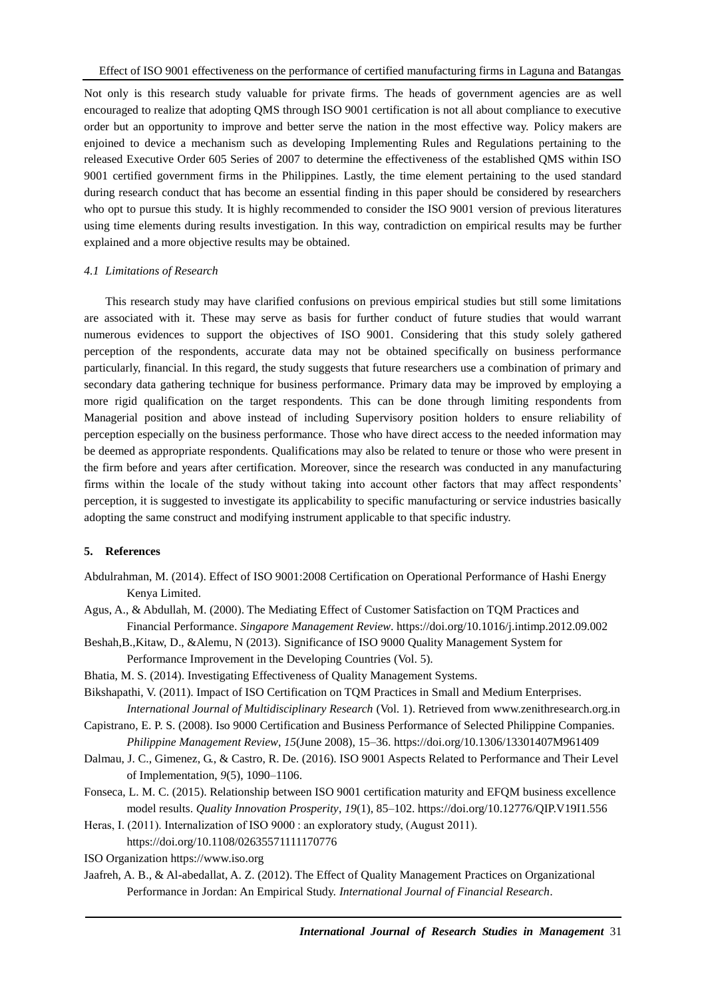Not only is this research study valuable for private firms. The heads of government agencies are as well encouraged to realize that adopting QMS through ISO 9001 certification is not all about compliance to executive order but an opportunity to improve and better serve the nation in the most effective way. Policy makers are enjoined to device a mechanism such as developing Implementing Rules and Regulations pertaining to the released Executive Order 605 Series of 2007 to determine the effectiveness of the established QMS within ISO 9001 certified government firms in the Philippines. Lastly, the time element pertaining to the used standard during research conduct that has become an essential finding in this paper should be considered by researchers who opt to pursue this study. It is highly recommended to consider the ISO 9001 version of previous literatures using time elements during results investigation. In this way, contradiction on empirical results may be further explained and a more objective results may be obtained.

### *4.1 Limitations of Research*

This research study may have clarified confusions on previous empirical studies but still some limitations are associated with it. These may serve as basis for further conduct of future studies that would warrant numerous evidences to support the objectives of ISO 9001. Considering that this study solely gathered perception of the respondents, accurate data may not be obtained specifically on business performance particularly, financial. In this regard, the study suggests that future researchers use a combination of primary and secondary data gathering technique for business performance. Primary data may be improved by employing a more rigid qualification on the target respondents. This can be done through limiting respondents from Managerial position and above instead of including Supervisory position holders to ensure reliability of perception especially on the business performance. Those who have direct access to the needed information may be deemed as appropriate respondents. Qualifications may also be related to tenure or those who were present in the firm before and years after certification. Moreover, since the research was conducted in any manufacturing firms within the locale of the study without taking into account other factors that may affect respondents' perception, it is suggested to investigate its applicability to specific manufacturing or service industries basically adopting the same construct and modifying instrument applicable to that specific industry.

## **5. References**

- Abdulrahman, M. (2014). Effect of ISO 9001:2008 Certification on Operational Performance of Hashi Energy Kenya Limited.
- Agus, A., & Abdullah, M. (2000). The Mediating Effect of Customer Satisfaction on TQM Practices and Financial Performance. *Singapore Management Review*. https://doi.org/10.1016/j.intimp.2012.09.002
- Beshah,B.,Kitaw, D., &Alemu, N (2013). Significance of ISO 9000 Quality Management System for Performance Improvement in the Developing Countries (Vol. 5).
- Bhatia, M. S. (2014). Investigating Effectiveness of Quality Management Systems.
- Bikshapathi, V. (2011). Impact of ISO Certification on TQM Practices in Small and Medium Enterprises. *International Journal of Multidisciplinary Research* (Vol. 1). Retrieved from www.zenithresearch.org.in

Capistrano, E. P. S. (2008). Iso 9000 Certification and Business Performance of Selected Philippine Companies. *Philippine Management Review*, *15*(June 2008), 15–36. https://doi.org/10.1306/13301407M961409

- Dalmau, J. C., Gimenez, G., & Castro, R. De. (2016). ISO 9001 Aspects Related to Performance and Their Level of Implementation, *9*(5), 1090–1106.
- Fonseca, L. M. C. (2015). Relationship between ISO 9001 certification maturity and EFQM business excellence model results. *Quality Innovation Prosperity*, *19*(1), 85–102. https://doi.org/10.12776/QIP.V19I1.556
- Heras, I. (2011). Internalization of ISO 9000 : an exploratory study, (August 2011). https://doi.org/10.1108/02635571111170776

ISO Organization https://www.iso.org

Jaafreh, A. B., & Al-abedallat, A. Z. (2012). The Effect of Quality Management Practices on Organizational Performance in Jordan: An Empirical Study. *International Journal of Financial Research*.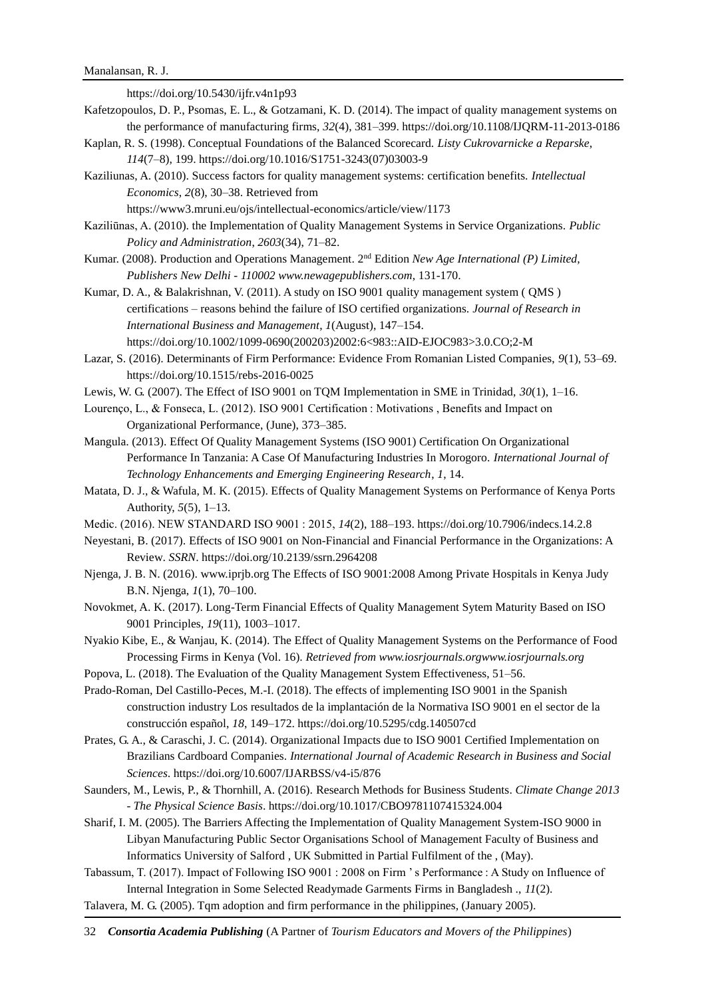https://doi.org/10.5430/ijfr.v4n1p93 Kafetzopoulos, D. P., Psomas, E. L., & Gotzamani, K. D. (2014). The impact of quality management systems on

the performance of manufacturing firms, *32*(4), 381–399. https://doi.org/10.1108/IJQRM-11-2013-0186 Kaplan, R. S. (1998). Conceptual Foundations of the Balanced Scorecard. *Listy Cukrovarnicke a Reparske*, *114*(7–8), 199. https://doi.org/10.1016/S1751-3243(07)03003-9

Kaziliunas, A. (2010). Success factors for quality management systems: certification benefits. *Intellectual Economics*, *2*(8), 30–38. Retrieved from

https://www3.mruni.eu/ojs/intellectual-economics/article/view/1173

- Kaziliūnas, A. (2010). the Implementation of Quality Management Systems in Service Organizations. *Public Policy and Administration*, *2603*(34), 71–82.
- Kumar. (2008). Production and Operations Management. 2nd Edition *New Age International (P) Limited, Publishers New Delhi - 110002 www.newagepublishers.com*, 131-170.

Kumar, D. A., & Balakrishnan, V. (2011). A study on ISO 9001 quality management system ( QMS ) certifications – reasons behind the failure of ISO certified organizations. *Journal of Research in International Business and Management*, *1*(August), 147–154. https://doi.org/10.1002/1099-0690(200203)2002:6<983::AID-EJOC983>3.0.CO;2-M

- Lazar, S. (2016). Determinants of Firm Performance: Evidence From Romanian Listed Companies, *9*(1), 53–69. https://doi.org/10.1515/rebs-2016-0025
- Lewis, W. G. (2007). The Effect of ISO 9001 on TQM Implementation in SME in Trinidad, *30*(1), 1–16.

Lourenço, L., & Fonseca, L. (2012). ISO 9001 Certification : Motivations , Benefits and Impact on Organizational Performance, (June), 373–385.

- Mangula. (2013). Effect Of Quality Management Systems (ISO 9001) Certification On Organizational Performance In Tanzania: A Case Of Manufacturing Industries In Morogoro. *International Journal of Technology Enhancements and Emerging Engineering Research*, *1*, 14.
- Matata, D. J., & Wafula, M. K. (2015). Effects of Quality Management Systems on Performance of Kenya Ports Authority, *5*(5), 1–13.
- Medic. (2016). NEW STANDARD ISO 9001 : 2015, *14*(2), 188–193. https://doi.org/10.7906/indecs.14.2.8
- Neyestani, B. (2017). Effects of ISO 9001 on Non-Financial and Financial Performance in the Organizations: A Review. *SSRN*. https://doi.org/10.2139/ssrn.2964208
- Njenga, J. B. N. (2016). www.iprjb.org The Effects of ISO 9001:2008 Among Private Hospitals in Kenya Judy B.N. Njenga, *1*(1), 70–100.
- Novokmet, A. K. (2017). Long-Term Financial Effects of Quality Management Sytem Maturity Based on ISO 9001 Principles, *19*(11), 1003–1017.
- Nyakio Kibe, E., & Wanjau, K. (2014). The Effect of Quality Management Systems on the Performance of Food Processing Firms in Kenya (Vol. 16). *Retrieved from www.iosrjournals.orgwww.iosrjournals.org*
- Popova, L. (2018). The Evaluation of the Quality Management System Effectiveness, 51–56.
- Prado-Roman, Del Castillo-Peces, M.-I. (2018). The effects of implementing ISO 9001 in the Spanish construction industry Los resultados de la implantación de la Normativa ISO 9001 en el sector de la construcción español, *18*, 149–172. https://doi.org/10.5295/cdg.140507cd
- Prates, G. A., & Caraschi, J. C. (2014). Organizational Impacts due to ISO 9001 Certified Implementation on Brazilians Cardboard Companies. *International Journal of Academic Research in Business and Social Sciences*. https://doi.org/10.6007/IJARBSS/v4-i5/876
- Saunders, M., Lewis, P., & Thornhill, A. (2016). Research Methods for Business Students. *Climate Change 2013 - The Physical Science Basis*. https://doi.org/10.1017/CBO9781107415324.004
- Sharif, I. M. (2005). The Barriers Affecting the Implementation of Quality Management System-ISO 9000 in Libyan Manufacturing Public Sector Organisations School of Management Faculty of Business and Informatics University of Salford , UK Submitted in Partial Fulfilment of the , (May).
- Tabassum, T. (2017). Impact of Following ISO 9001 : 2008 on Firm ' s Performance : A Study on Influence of Internal Integration in Some Selected Readymade Garments Firms in Bangladesh ., *11*(2).
- Talavera, M. G. (2005). Tqm adoption and firm performance in the philippines, (January 2005).